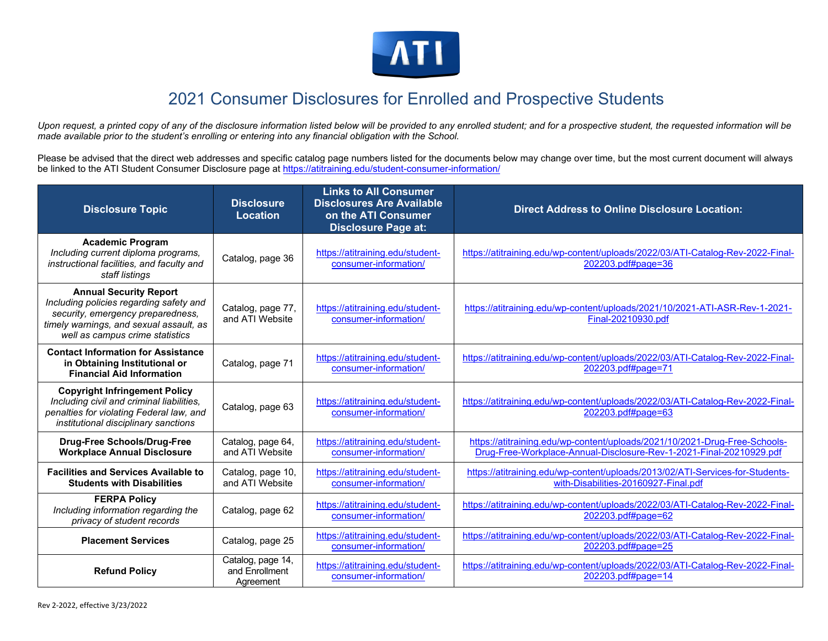

## 2021 Consumer Disclosures for Enrolled and Prospective Students

Upon request, a printed copy of any of the disclosure information listed below will be provided to any enrolled student; and for a prospective student, the requested information will be *made available prior to the student's enrolling or entering into any financial obligation with the School.* 

Please be advised that the direct web addresses and specific catalog page numbers listed for the documents below may change over time, but the most current document will always be linked to the ATI Student Consumer Disclosure page at https://atitraining.edu/student-consumer-information/

| <b>Disclosure Topic</b>                                                                                                                                                                     | <b>Disclosure</b><br>Location                    | <b>Links to All Consumer</b><br><b>Disclosures Are Available</b><br>on the ATI Consumer<br><b>Disclosure Page at:</b> | <b>Direct Address to Online Disclosure Location:</b>                                                                                              |
|---------------------------------------------------------------------------------------------------------------------------------------------------------------------------------------------|--------------------------------------------------|-----------------------------------------------------------------------------------------------------------------------|---------------------------------------------------------------------------------------------------------------------------------------------------|
| <b>Academic Program</b><br>Including current diploma programs,<br>instructional facilities, and faculty and<br>staff listings                                                               | Catalog, page 36                                 | https://atitraining.edu/student-<br>consumer-information/                                                             | https://atitraining.edu/wp-content/uploads/2022/03/ATI-Catalog-Rev-2022-Final-<br>202203.pdf#page=36                                              |
| <b>Annual Security Report</b><br>Including policies regarding safety and<br>security, emergency preparedness,<br>timely warnings, and sexual assault, as<br>well as campus crime statistics | Catalog, page 77,<br>and ATI Website             | https://atitraining.edu/student-<br>consumer-information/                                                             | https://atitraining.edu/wp-content/uploads/2021/10/2021-ATI-ASR-Rev-1-2021-<br>Final-20210930.pdf                                                 |
| <b>Contact Information for Assistance</b><br>in Obtaining Institutional or<br><b>Financial Aid Information</b>                                                                              | Catalog, page 71                                 | https://atitraining.edu/student-<br>consumer-information/                                                             | https://atitraining.edu/wp-content/uploads/2022/03/ATI-Catalog-Rev-2022-Final-<br>202203.pdf#page=71                                              |
| <b>Copyright Infringement Policy</b><br>Including civil and criminal liabilities,<br>penalties for violating Federal law, and<br>institutional disciplinary sanctions                       | Catalog, page 63                                 | https://atitraining.edu/student-<br>consumer-information/                                                             | https://atitraining.edu/wp-content/uploads/2022/03/ATI-Catalog-Rev-2022-Final-<br>202203.pdf#page=63                                              |
| <b>Drug-Free Schools/Drug-Free</b><br><b>Workplace Annual Disclosure</b>                                                                                                                    | Catalog, page 64,<br>and ATI Website             | https://atitraining.edu/student-<br>consumer-information/                                                             | https://atitraining.edu/wp-content/uploads/2021/10/2021-Drug-Free-Schools-<br>Drug-Free-Workplace-Annual-Disclosure-Rev-1-2021-Final-20210929.pdf |
| <b>Facilities and Services Available to</b><br><b>Students with Disabilities</b>                                                                                                            | Catalog, page 10,<br>and ATI Website             | https://atitraining.edu/student-<br>consumer-information/                                                             | https://atitraining.edu/wp-content/uploads/2013/02/ATI-Services-for-Students-<br>with-Disabilities-20160927-Final.pdf                             |
| <b>FERPA Policy</b><br>Including information regarding the<br>privacy of student records                                                                                                    | Catalog, page 62                                 | https://atitraining.edu/student-<br>consumer-information/                                                             | https://atitraining.edu/wp-content/uploads/2022/03/ATI-Catalog-Rev-2022-Final-<br>202203.pdf#page=62                                              |
| <b>Placement Services</b>                                                                                                                                                                   | Catalog, page 25                                 | https://atitraining.edu/student-<br>consumer-information/                                                             | https://atitraining.edu/wp-content/uploads/2022/03/ATI-Catalog-Rev-2022-Final-<br>202203.pdf#page=25                                              |
| <b>Refund Policy</b>                                                                                                                                                                        | Catalog, page 14,<br>and Enrollment<br>Agreement | https://atitraining.edu/student-<br>consumer-information/                                                             | https://atitraining.edu/wp-content/uploads/2022/03/ATI-Catalog-Rev-2022-Final-<br>202203.pdf#page=14                                              |